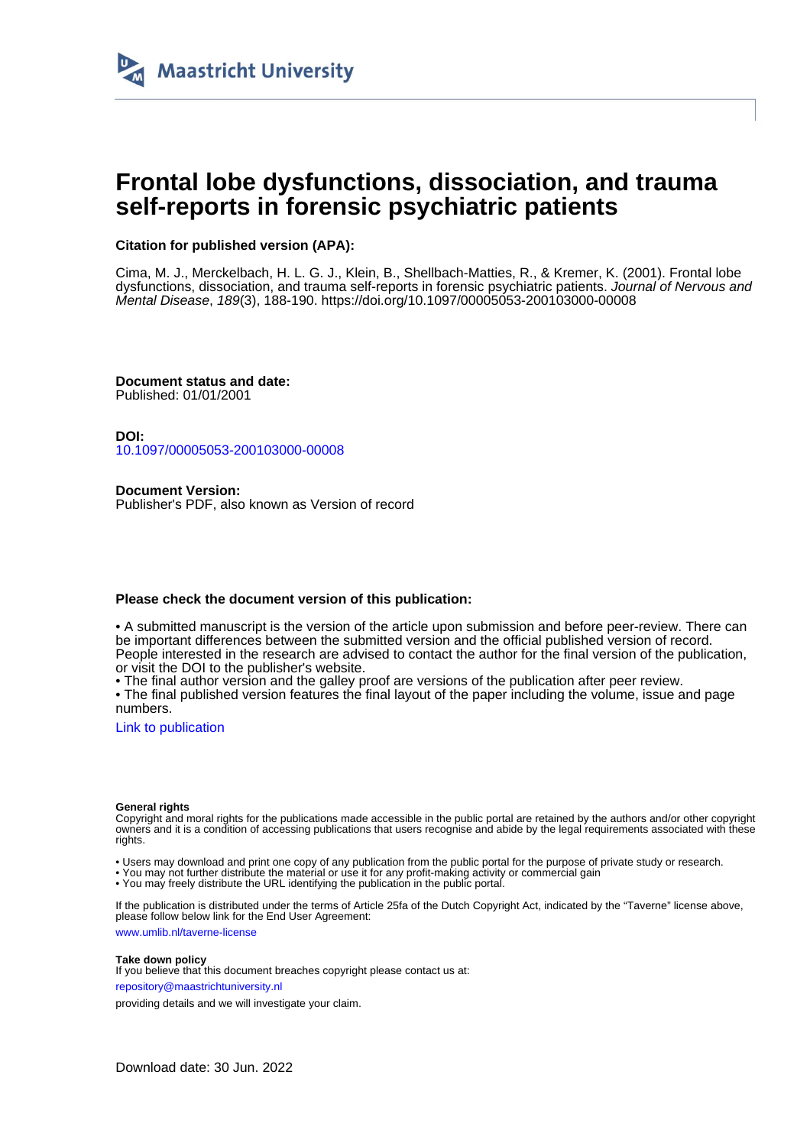

# **Frontal lobe dysfunctions, dissociation, and trauma self-reports in forensic psychiatric patients**

# **Citation for published version (APA):**

Cima, M. J., Merckelbach, H. L. G. J., Klein, B., Shellbach-Matties, R., & Kremer, K. (2001). Frontal lobe dysfunctions, dissociation, and trauma self-reports in forensic psychiatric patients. Journal of Nervous and Mental Disease, 189(3), 188-190.<https://doi.org/10.1097/00005053-200103000-00008>

**Document status and date:** Published: 01/01/2001

**DOI:** [10.1097/00005053-200103000-00008](https://doi.org/10.1097/00005053-200103000-00008)

**Document Version:** Publisher's PDF, also known as Version of record

## **Please check the document version of this publication:**

• A submitted manuscript is the version of the article upon submission and before peer-review. There can be important differences between the submitted version and the official published version of record. People interested in the research are advised to contact the author for the final version of the publication, or visit the DOI to the publisher's website.

• The final author version and the galley proof are versions of the publication after peer review.

• The final published version features the final layout of the paper including the volume, issue and page numbers.

[Link to publication](https://cris.maastrichtuniversity.nl/en/publications/8d2b161f-1596-4acf-8a57-0ff8c7f349bc)

#### **General rights**

Copyright and moral rights for the publications made accessible in the public portal are retained by the authors and/or other copyright owners and it is a condition of accessing publications that users recognise and abide by the legal requirements associated with these rights.

• Users may download and print one copy of any publication from the public portal for the purpose of private study or research.

• You may not further distribute the material or use it for any profit-making activity or commercial gain

• You may freely distribute the URL identifying the publication in the public portal.

If the publication is distributed under the terms of Article 25fa of the Dutch Copyright Act, indicated by the "Taverne" license above, please follow below link for the End User Agreement:

www.umlib.nl/taverne-license

## **Take down policy**

If you believe that this document breaches copyright please contact us at: repository@maastrichtuniversity.nl

providing details and we will investigate your claim.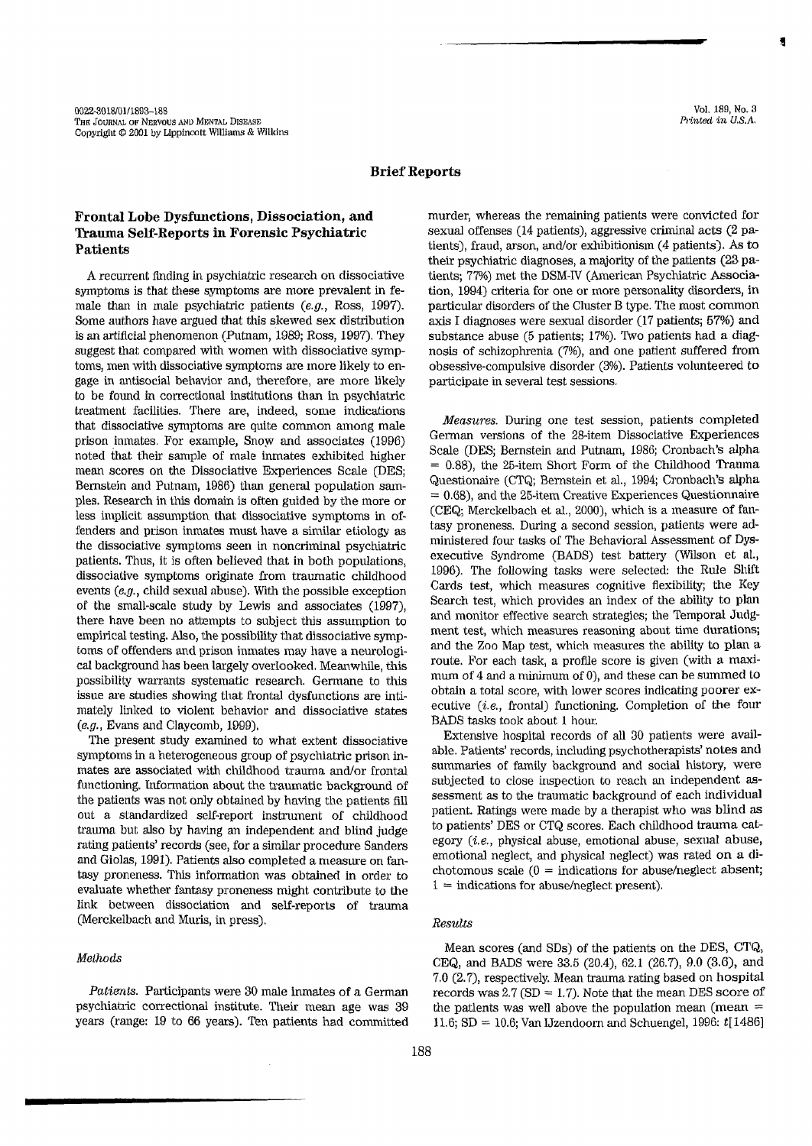## **Brief Reports**

# Frontal Lobe Dysfunctions, Dissociation, and Trauma Self-Reports in Forensic Psychiatric **Patients**

A recurrent finding in psychiatric research on dissociative symptoms is that these symptoms are more prevalent in female than in male psychiatric patients  $(e.g., Ross, 1997)$ . Some authors have argued that this skewed sex distribution is an artificial phenomenon (Putnam, 1989; Ross, 1997). They suggest that compared with women with dissociative symptoms, men with dissociative symptoms are more likely to engage in antisocial behavior and, therefore, are more likely to be found in correctional institutions than in psychiatric treatment facilities. There are, indeed, some indications that dissociative symptoms are quite common among male prison inmates. For example, Snow and associates (1996) noted that their sample of male inmates exhibited higher mean scores on the Dissociative Experiences Scale (DES: Bernstein and Putnam, 1986) than general population samples. Research in this domain is often guided by the more or less implicit assumption that dissociative symptoms in offenders and prison inmates must have a similar etiology as the dissociative symptoms seen in noncriminal psychiatric patients. Thus, it is often believed that in both populations, dissociative symptoms originate from traumatic childhood events  $(e.g., child sexual abuse)$ . With the possible exception of the small-scale study by Lewis and associates (1997), there have been no attempts to subject this assumption to empirical testing. Also, the possibility that dissociative symptoms of offenders and prison inmates may have a neurological background has been largely overlooked. Meanwhile, this possibility warrants systematic research. Germane to this issue are studies showing that frontal dysfunctions are intimately linked to violent behavior and dissociative states  $(e.g., Evans and Claycomb, 1999).$ 

The present study examined to what extent dissociative symptoms in a heterogeneous group of psychiatric prison inmates are associated with childhood trauma and/or frontal functioning. Information about the traumatic background of the patients was not only obtained by having the patients fill out a standardized self-report instrument of childhood trauma but also by having an independent and blind judge rating patients' records (see, for a similar procedure Sanders and Giolas, 1991). Patients also completed a measure on fantasy proneness. This information was obtained in order to evaluate whether fantasy proneness might contribute to the link between dissociation and self-reports of trauma (Merckelbach and Muris, in press).

## Methods

Patients. Participants were 30 male inmates of a German psychiatric correctional institute. Their mean age was 39 years (range: 19 to 66 years). Ten patients had committed murder, whereas the remaining patients were convicted for sexual offenses (14 patients), aggressive criminal acts (2 patients), fraud, arson, and/or exhibitionism (4 patients). As to their psychiatric diagnoses, a majority of the patients (23 patients: 77%) met the DSM-IV (American Psychiatric Association, 1994) criteria for one or more personality disorders, in particular disorders of the Cluster B type. The most common axis I diagnoses were sexual disorder (17 patients; 57%) and substance abuse (5 patients; 17%). Two patients had a diagnosis of schizophrenia (7%), and one patient suffered from obsessive-compulsive disorder (3%). Patients volunteered to participate in several test sessions.

Measures. During one test session, patients completed German versions of the 28-item Dissociative Experiences Scale (DES: Bernstein and Putnam, 1986; Cronbach's alpha  $= 0.88$ ), the 25-item Short Form of the Childhood Trauma Questionaire (CTQ; Bernstein et al., 1994; Cronbach's alpha  $= 0.68$ ), and the 25-item Creative Experiences Questionnaire (CEQ; Merckelbach et al., 2000), which is a measure of fantasy proneness. During a second session, patients were administered four tasks of The Behavioral Assessment of Dysexecutive Syndrome (BADS) test battery (Wilson et al., 1996). The following tasks were selected: the Rule Shift Cards test, which measures cognitive flexibility; the Key Search test, which provides an index of the ability to plan and monitor effective search strategies; the Temporal Judgment test, which measures reasoning about time durations; and the Zoo Map test, which measures the ability to plan a route. For each task, a profile score is given (with a maximum of 4 and a minimum of 0), and these can be summed to obtain a total score, with lower scores indicating poorer executive  $(i.e.,$  frontal) functioning. Completion of the four BADS tasks took about 1 hour.

Extensive hospital records of all 30 patients were available. Patients' records, including psychotherapists' notes and summaries of family background and social history, were subjected to close inspection to reach an independent assessment as to the traumatic background of each individual patient. Ratings were made by a therapist who was blind as to patients' DES or CTQ scores. Each childhood trauma category (i.e., physical abuse, emotional abuse, sexual abuse, emotional neglect, and physical neglect) was rated on a dichotomous scale  $(0 =$  indications for abuse/neglect absent;  $1 =$  indications for abuse/neglect present).

#### Results

Mean scores (and SDs) of the patients on the DES, CTQ, CEQ, and BADS were 33.5 (20.4), 62.1 (26.7), 9.0 (3.6), and 7.0 (2.7), respectively. Mean trauma rating based on hospital records was  $2.7$  (SD = 1.7). Note that the mean DES score of the patients was well above the population mean (mean  $=$ 11.6; SD = 10.6; Van IJzendoorn and Schuengel, 1996:  $t[1486]$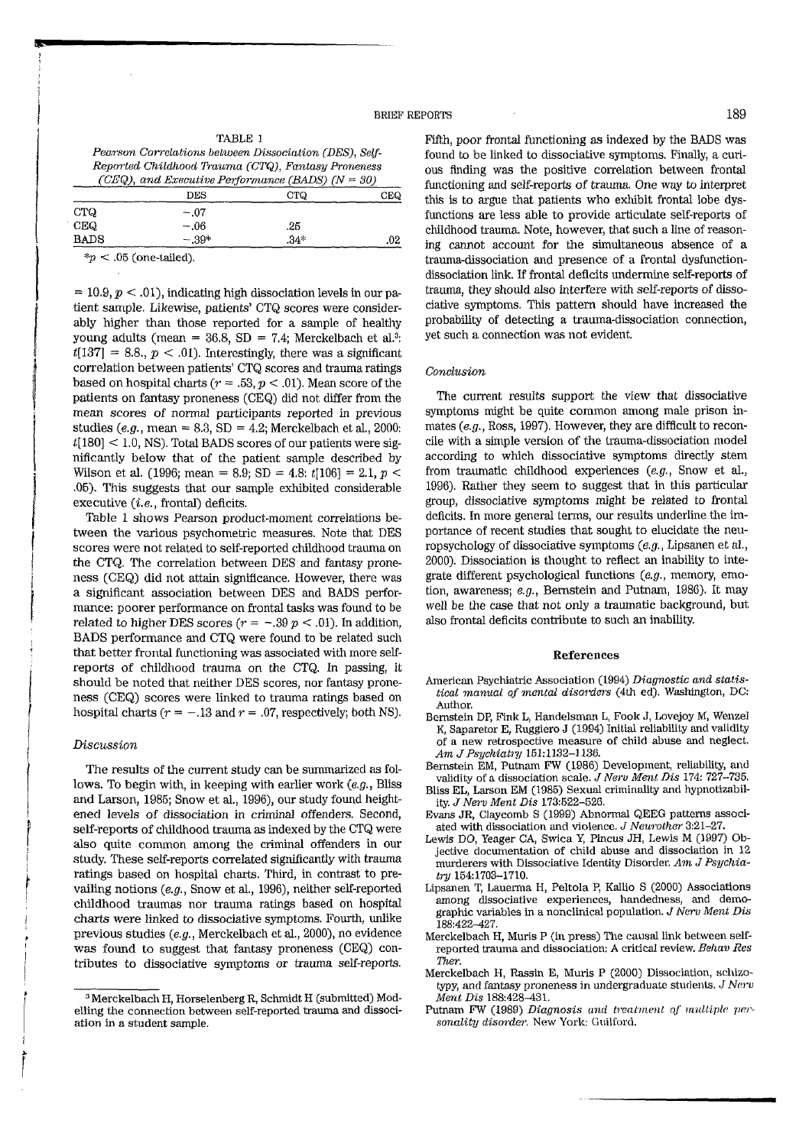#### **BRIEF REPORTS**

| TABLE 1                                                |      |  |
|--------------------------------------------------------|------|--|
| Pearson Correlations between Dissociation (DES), Self- |      |  |
| Reported Childhood Trauma (CTQ), Fantasy Proneness     |      |  |
| (CEQ), and Executive Performance (BADS) $(N = 30)$     |      |  |
| DES                                                    | CTQ. |  |

|             | פעט     | ∪ U    | لمحتات |
|-------------|---------|--------|--------|
| <b>CTQ</b>  | $-.07$  |        |        |
| CEQ         | $-.06$  | .25    |        |
| <b>BADS</b> | $-.39*$ | $.34*$ | .02    |
|             |         |        |        |

 $*<sub>p</sub> < .05$  (one-tailed).

 $= 10.9, p < .01$ , indicating high dissociation levels in our patient sample. Likewise, patients' CTQ scores were considerably higher than those reported for a sample of healthy young adults (mean = 36.8, SD = 7.4; Merckelbach et al.<sup>3</sup>:  $t[137] = 8.8, p < .01$ . Interestingly, there was a significant correlation between patients' CTQ scores and trauma ratings based on hospital charts ( $r = .53$ ,  $p < .01$ ). Mean score of the patients on fantasy proneness (CEQ) did not differ from the mean scores of normal participants reported in previous studies (e.g., mean = 8.3, SD = 4.2; Merckelbach et al., 2000:  $t[180]$  < 1.0, NS). Total BADS scores of our patients were significantly below that of the patient sample described by Wilson et al. (1996; mean = 8.9; SD = 4.8:  $t[106]$  = 2.1,  $p$  < .05). This suggests that our sample exhibited considerable executive  $(i.e.,$  frontal) deficits.

Table 1 shows Pearson product-moment correlations between the various psychometric measures. Note that DES scores were not related to self-reported childhood trauma on the CTQ. The correlation between DES and fantasy proneness (CEQ) did not attain significance. However, there was a significant association between DES and BADS performance: poorer performance on frontal tasks was found to be related to higher DES scores  $(r = -.39 \ p < .01)$ . In addition, BADS performance and CTQ were found to be related such that better frontal functioning was associated with more selfreports of childhood trauma on the CTQ. In passing, it should be noted that neither DES scores, nor fantasy proneness (CEQ) scores were linked to trauma ratings based on hospital charts ( $r = -.13$  and  $r = .07$ , respectively; both NS).

#### Discussion

The results of the current study can be summarized as follows. To begin with, in keeping with earlier work  $(e.g.,\text{ Bliss})$ and Larson, 1985; Snow et al., 1996), our study found heightened levels of dissociation in criminal offenders. Second, self-reports of childhood trauma as indexed by the CTQ were also quite common among the criminal offenders in our study. These self-reports correlated significantly with trauma ratings based on hospital charts. Third, in contrast to prevailing notions (e.g., Snow et al., 1996), neither self-reported childhood traumas nor trauma ratings based on hospital charts were linked to dissociative symptoms. Fourth, unlike previous studies (e.g., Merckelbach et al., 2000), no evidence was found to suggest that fantasy proneness (CEQ) contributes to dissociative symptoms or trauma self-reports.

Fifth, poor frontal functioning as indexed by the BADS was found to be linked to dissociative symptoms. Finally, a curious finding was the positive correlation between frontal functioning and self-reports of trauma. One way to interpret this is to argue that patients who exhibit frontal lobe dysfunctions are less able to provide articulate self-reports of childhood trauma. Note, however, that such a line of reasoning cannot account for the simultaneous absence of a trauma-dissociation and presence of a frontal dysfunctiondissociation link. If frontal deficits undermine self-reports of trauma, they should also interfere with self-reports of dissociative symptoms. This pattern should have increased the probability of detecting a trauma-dissociation connection, yet such a connection was not evident.

#### Conclusion

The current results support the view that dissociative symptoms might be quite common among male prison inmates  $(e.g., Ross, 1997)$ . However, they are difficult to reconcile with a simple version of the trauma-dissociation model according to which dissociative symptoms directly stem from traumatic childhood experiences  $(e.g.,)$  Snow et al., 1996). Rather they seem to suggest that in this particular group, dissociative symptoms might be related to frontal deficits. In more general terms, our results underline the importance of recent studies that sought to elucidate the neuropsychology of dissociative symptoms  $(e.g., Lipsanen et al.,$ 2000). Dissociation is thought to reflect an inability to integrate different psychological functions (e.g., memory, emotion, awareness;  $e.g.,$  Bernstein and Putnam, 1986). It may well be the case that not only a traumatic background, but also frontal deficits contribute to such an inability.

#### References

- American Psychiatric Association (1994) Diagnostic and statistical manual of mental disorders (4th ed). Washington, DC: Author.
- Bernstein DP, Fink L, Handelsman L, Fook J, Lovejoy M, Wenzel K, Saparetor E, Ruggiero J (1994) Initial reliability and validity of a new retrospective measure of child abuse and neglect. Am J Psychiatry 151:1132-1136.
- Bernstein EM, Putnam FW (1986) Development, reliability, and<br>validity of a dissociation scale. J Nerv Ment Dis 174: 727-735.
- Bliss EL, Larson EM (1985) Sexual criminality and hypnotizability. J Nerv Ment Dis 173:522-526
- Evans JR, Claycomb S (1999) Abnormal QEEG patterns associated with dissociation and violence. J Neurother 3:21--27.
- Lewis DO, Yeager CA, Swica Y, Pincus JH, Lewis M (1997) Objective documentation of child abuse and dissociation in 12 murderers with Dissociative Identity Disorder. Am J Psychiatry 154:1703-1710.
- Lipsanen T, Lauerma H, Peltola P, Kallio S (2000) Associations among dissociative experiences, handedness, and demographic variables in a nonclinical population. J Nerv Ment Dis 188:422-427
- Merckelbach H, Muris P (in press) The causal link between selfreported trauma and dissociation: A critical review. Behav Res Ther.
- Merckelbach H, Rassin E, Muris P (2000) Dissociation, schizotypy, and fantasy proneness in undergraduate students. J Nerv Ment Dis 188:428-431.
- Putnam FW (1989) Diagnosis and treatment of multiple personality disorder. New York: Guilford.

<sup>&</sup>lt;sup>3</sup> Merckelbach H. Horselenberg R. Schmidt H (submitted) Modelling the connection between self-reported trauma and dissociation in a student sample.